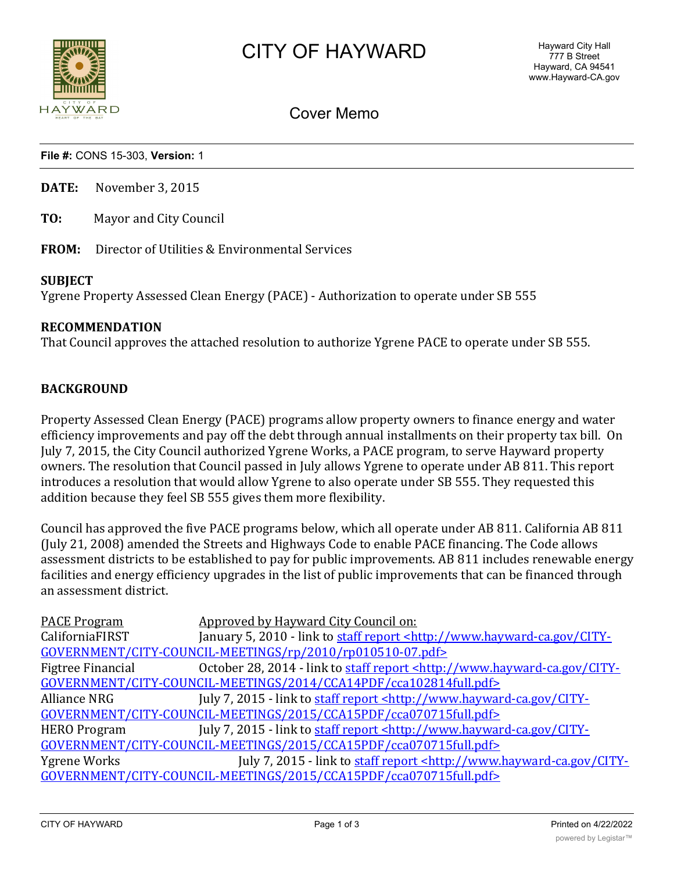

# Cover Memo

**File #:** CONS 15-303, **Version:** 1

**DATE:** November 3, 2015

**TO:** Mayor and City Council

**FROM:** Director of Utilities & Environmental Services

#### **SUBJECT**

Ygrene Property Assessed Clean Energy (PACE) - Authorization to operate under SB 555

### **RECOMMENDATION**

That Council approves the attached resolution to authorize Ygrene PACE to operate under SB 555.

#### **BACKGROUND**

Property Assessed Clean Energy (PACE) programs allow property owners to finance energy and water efficiency improvements and pay off the debt through annual installments on their property tax bill. On July 7, 2015, the City Council authorized Ygrene Works, a PACE program, to serve Hayward property owners. The resolution that Council passed in July allows Ygrene to operate under AB 811. This report introduces a resolution that would allow Ygrene to also operate under SB 555. They requested this addition because they feel SB 555 gives them more flexibility.

Council has approved the five PACE programs below, which all operate under AB 811. California AB 811 (July 21, 2008) amended the Streets and Highways Code to enable PACE financing. The Code allows assessment districts to be established to pay for public improvements. AB 811 includes renewable energy facilities and energy efficiency upgrades in the list of public improvements that can be financed through an assessment district.

| <b>PACE Program</b> | Approved by Hayward City Council on:                                                          |
|---------------------|-----------------------------------------------------------------------------------------------|
| CaliforniaFIRST     | January 5, 2010 - link to staff report <http: city-<="" td="" www.hayward-ca.gov=""></http:>  |
|                     | GOVERNMENT/CITY-COUNCIL-MEETINGS/rp/2010/rp010510-07.pdf>                                     |
| Figtree Financial   | October 28, 2014 - link to staff report <http: city-<="" td="" www.hayward-ca.gov=""></http:> |
|                     | GOVERNMENT/CITY-COUNCIL-MEETINGS/2014/CCA14PDF/cca102814full.pdf>                             |
| Alliance NRG        | July 7, 2015 - link to staff report <http: city-<="" td="" www.hayward-ca.gov=""></http:>     |
|                     | GOVERNMENT/CITY-COUNCIL-MEETINGS/2015/CCA15PDF/cca070715full.pdf>                             |
| <b>HERO Program</b> | July 7, 2015 - link to staff report <http: city-<="" td="" www.hayward-ca.gov=""></http:>     |
|                     | GOVERNMENT/CITY-COUNCIL-MEETINGS/2015/CCA15PDF/cca070715full.pdf>                             |
| Ygrene Works        | July 7, 2015 - link to staff report <http: city-<="" td="" www.hayward-ca.gov=""></http:>     |
|                     | GOVERNMENT/CITY-COUNCIL-MEETINGS/2015/CCA15PDF/cca070715full.pdf>                             |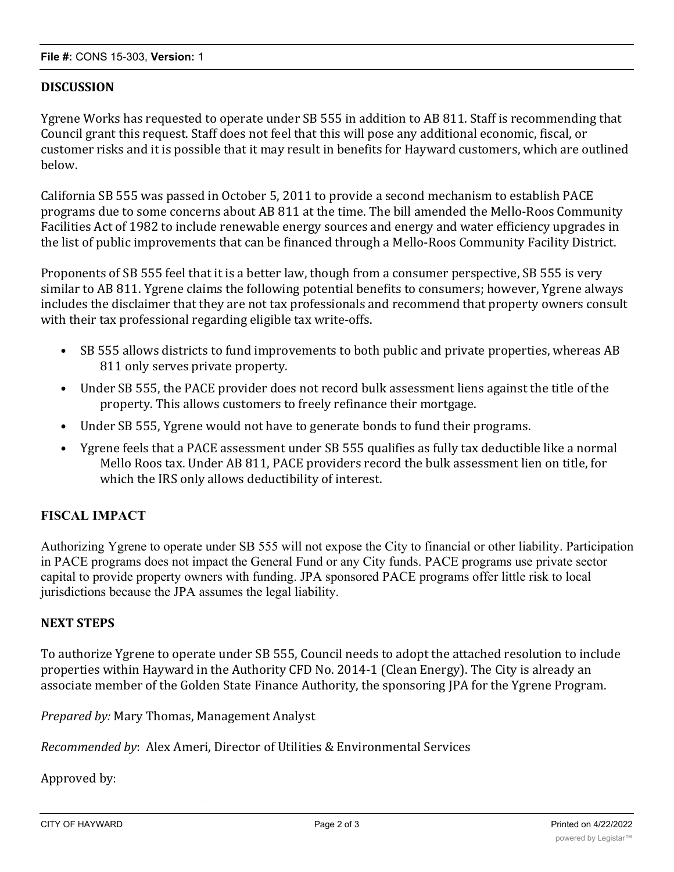## **DISCUSSION**

Ygrene Works has requested to operate under SB 555 in addition to AB 811. Staff is recommending that Council grant this request. Staff does not feel that this will pose any additional economic, fiscal, or customer risks and it is possible that it may result in benefits for Hayward customers, which are outlined below.

California SB 555 was passed in October 5, 2011 to provide a second mechanism to establish PACE programs due to some concerns about AB 811 at the time. The bill amended the Mello-Roos Community Facilities Act of 1982 to include renewable energy sources and energy and water efficiency upgrades in the list of public improvements that can be financed through a Mello-Roos Community Facility District.

Proponents of SB 555 feel that it is a better law, though from a consumer perspective, SB 555 is very similar to AB 811. Ygrene claims the following potential benefits to consumers; however, Ygrene always includes the disclaimer that they are not tax professionals and recommend that property owners consult with their tax professional regarding eligible tax write-offs.

- SB 555 allows districts to fund improvements to both public and private properties, whereas AB 811 only serves private property.
- Under SB 555, the PACE provider does not record bulk assessment liens against the title of the property. This allows customers to freely refinance their mortgage.
- Under SB 555, Ygrene would not have to generate bonds to fund their programs.
- Ygrene feels that a PACE assessment under SB 555 qualifies as fully tax deductible like a normal Mello Roos tax. Under AB 811, PACE providers record the bulk assessment lien on title, for which the IRS only allows deductibility of interest.

## **FISCAL IMPACT**

Authorizing Ygrene to operate under SB 555 will not expose the City to financial or other liability. Participation in PACE programs does not impact the General Fund or any City funds. PACE programs use private sector capital to provide property owners with funding. JPA sponsored PACE programs offer little risk to local jurisdictions because the JPA assumes the legal liability.

### **NEXT STEPS**

To authorize Ygrene to operate under SB 555, Council needs to adopt the attached resolution to include properties within Hayward in the Authority CFD No. 2014-1 (Clean Energy). The City is already an associate member of the Golden State Finance Authority, the sponsoring JPA for the Ygrene Program.

*Prepared by:* Mary Thomas, Management Analyst

*Recommended by*: Alex Ameri, Director of Utilities & Environmental Services

Approved by: